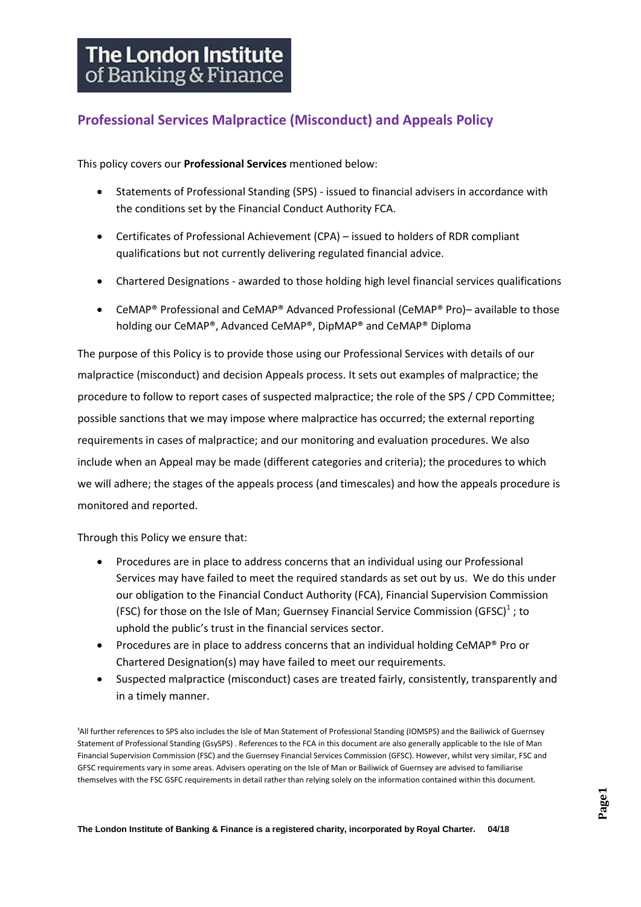# **Professional Services Malpractice (Misconduct) and Appeals Policy**

This policy covers our **Professional Services** mentioned below:

- Statements of Professional Standing (SPS) issued to financial advisers in accordance with the conditions set by the Financial Conduct Authority FCA.
- Certificates of Professional Achievement (CPA) issued to holders of RDR compliant qualifications but not currently delivering regulated financial advice.
- Chartered Designations awarded to those holding high level financial services qualifications
- CeMAP® Professional and CeMAP® Advanced Professional (CeMAP® Pro)– available to those holding our CeMAP®, Advanced CeMAP®, DipMAP® and CeMAP® Diploma

The purpose of this Policy is to provide those using our Professional Services with details of our malpractice (misconduct) and decision Appeals process. It sets out examples of malpractice; the procedure to follow to report cases of suspected malpractice; the role of the SPS / CPD Committee; possible sanctions that we may impose where malpractice has occurred; the external reporting requirements in cases of malpractice; and our monitoring and evaluation procedures. We also include when an Appeal may be made (different categories and criteria); the procedures to which we will adhere; the stages of the appeals process (and timescales) and how the appeals procedure is monitored and reported.

Through this Policy we ensure that:

- Procedures are in place to address concerns that an individual using our Professional Services may have failed to meet the required standards as set out by us. We do this under our obligation to the Financial Conduct Authority (FCA), Financial Supervision Commission (FSC) for those on the Isle of Man; Guernsey Financial Service Commission (GFSC) $<sup>1</sup>$ ; to</sup> uphold the public's trust in the financial services sector.
- Procedures are in place to address concerns that an individual holding CeMAP® Pro or Chartered Designation(s) may have failed to meet our requirements.
- Suspected malpractice (misconduct) cases are treated fairly, consistently, transparently and in a timely manner.

<sup>1</sup>All further references to SPS also includes the Isle of Man Statement of Professional Standing (IOMSPS) and the Bailiwick of Guernsey Statement of Professional Standing (GsySPS) . References to the FCA in this document are also generally applicable to the Isle of Man Financial Supervision Commission (FSC) and the Guernsey Financial Services Commission (GFSC). However, whilst very similar, FSC and GFSC requirements vary in some areas. Advisers operating on the Isle of Man or Bailiwick of Guernsey are advised to familiarise themselves with the FSC GSFC requirements in detail rather than relying solely on the information contained within this document.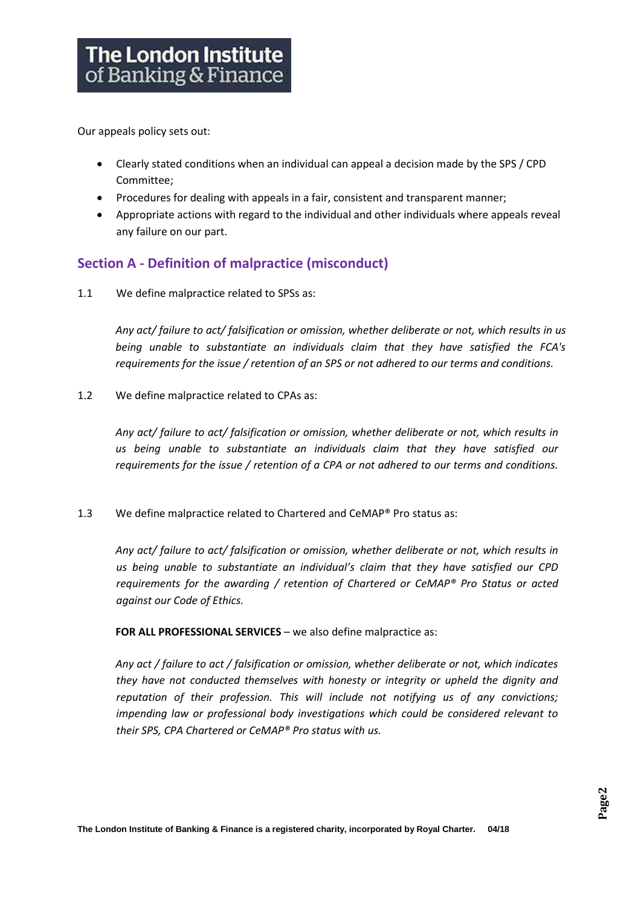Our appeals policy sets out:

- Clearly stated conditions when an individual can appeal a decision made by the SPS / CPD Committee;
- Procedures for dealing with appeals in a fair, consistent and transparent manner;
- Appropriate actions with regard to the individual and other individuals where appeals reveal any failure on our part.

# **Section A - Definition of malpractice (misconduct)**

1.1 We define malpractice related to SPSs as:

*Any act/ failure to act/ falsification or omission, whether deliberate or not, which results in us being unable to substantiate an individuals claim that they have satisfied the FCA's requirements for the issue / retention of an SPS or not adhered to our terms and conditions.*

1.2 We define malpractice related to CPAs as:

*Any act/ failure to act/ falsification or omission, whether deliberate or not, which results in us being unable to substantiate an individuals claim that they have satisfied our requirements for the issue / retention of a CPA or not adhered to our terms and conditions.*

1.3 We define malpractice related to Chartered and CeMAP® Pro status as:

*Any act/ failure to act/ falsification or omission, whether deliberate or not, which results in us being unable to substantiate an individual's claim that they have satisfied our CPD requirements for the awarding / retention of Chartered or CeMAP® Pro Status or acted against our Code of Ethics.*

**FOR ALL PROFESSIONAL SERVICES** – we also define malpractice as:

*Any act / failure to act / falsification or omission, whether deliberate or not, which indicates they have not conducted themselves with honesty or integrity or upheld the dignity and reputation of their profession. This will include not notifying us of any convictions; impending law or professional body investigations which could be considered relevant to their SPS, CPA Chartered or CeMAP® Pro status with us.*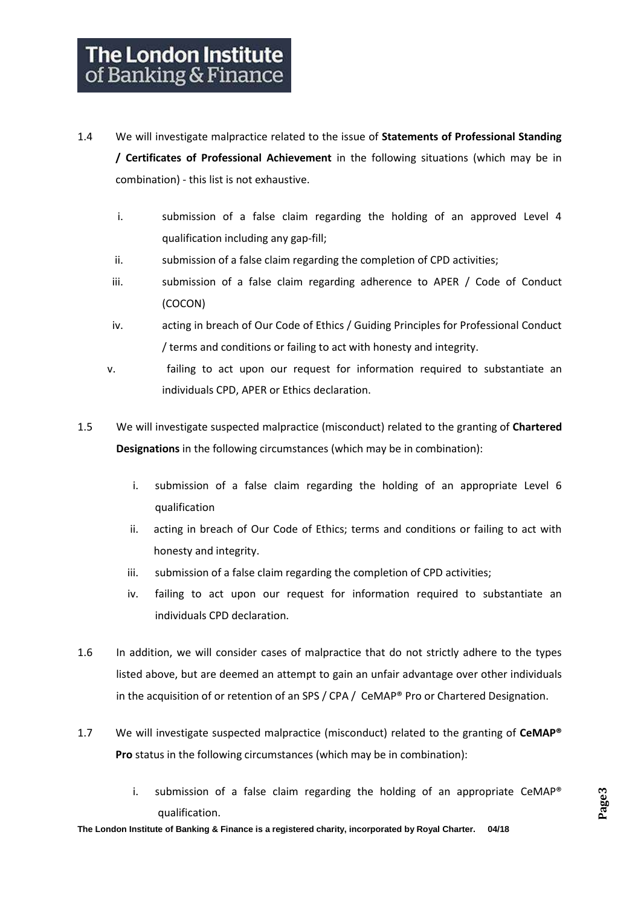- 1.4 We will investigate malpractice related to the issue of **Statements of Professional Standing / Certificates of Professional Achievement** in the following situations (which may be in combination) - this list is not exhaustive.
	- i. submission of a false claim regarding the holding of an approved Level 4 qualification including any gap-fill;
	- ii. submission of a false claim regarding the completion of CPD activities;
	- iii. submission of a false claim regarding adherence to APER / Code of Conduct (COCON)
	- iv. acting in breach of Our Code of Ethics / Guiding Principles for Professional Conduct / terms and conditions or failing to act with honesty and integrity.
	- v. failing to act upon our request for information required to substantiate an individuals CPD, APER or Ethics declaration.
- 1.5 We will investigate suspected malpractice (misconduct) related to the granting of **Chartered Designations** in the following circumstances (which may be in combination):
	- i. submission of a false claim regarding the holding of an appropriate Level 6 qualification
	- ii. acting in breach of Our Code of Ethics; terms and conditions or failing to act with honesty and integrity.
	- iii. submission of a false claim regarding the completion of CPD activities;
	- iv. failing to act upon our request for information required to substantiate an individuals CPD declaration.
- 1.6 In addition, we will consider cases of malpractice that do not strictly adhere to the types listed above, but are deemed an attempt to gain an unfair advantage over other individuals in the acquisition of or retention of an SPS / CPA / CeMAP® Pro or Chartered Designation.
- 1.7 We will investigate suspected malpractice (misconduct) related to the granting of **CeMAP® Pro** status in the following circumstances (which may be in combination):
	- i. submission of a false claim regarding the holding of an appropriate CeMAP<sup>®</sup> qualification.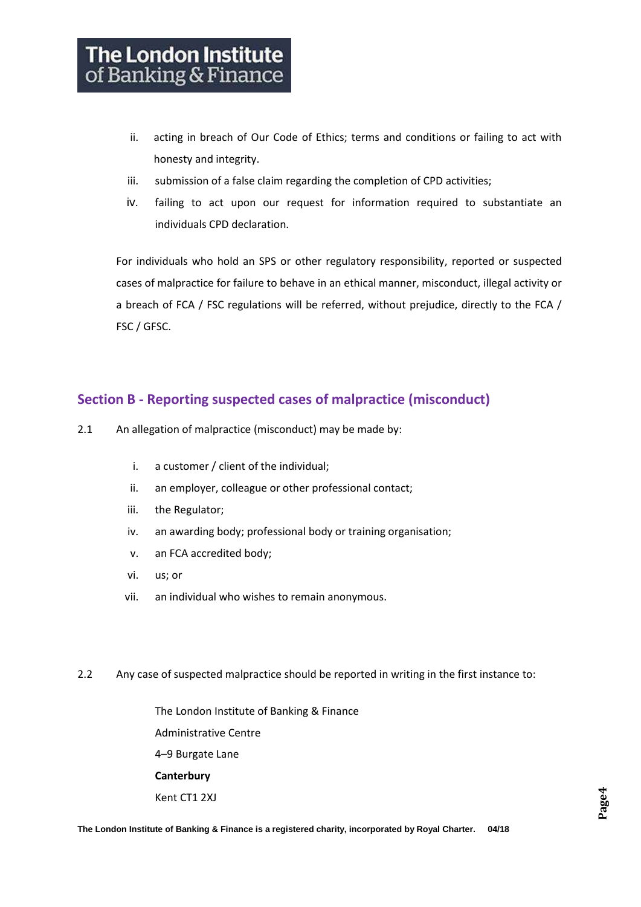- ii. acting in breach of Our Code of Ethics; terms and conditions or failing to act with honesty and integrity.
- iii. submission of a false claim regarding the completion of CPD activities;
- iv. failing to act upon our request for information required to substantiate an individuals CPD declaration.

For individuals who hold an SPS or other regulatory responsibility, reported or suspected cases of malpractice for failure to behave in an ethical manner, misconduct, illegal activity or a breach of FCA / FSC regulations will be referred, without prejudice, directly to the FCA / FSC / GFSC.

## **Section B - Reporting suspected cases of malpractice (misconduct)**

- 2.1 An allegation of malpractice (misconduct) may be made by:
	- i. a customer / client of the individual;
	- ii. an employer, colleague or other professional contact;
	- iii. the Regulator;
	- iv. an awarding body; professional body or training organisation;
	- v. an FCA accredited body;
	- vi. us; or
	- vii. an individual who wishes to remain anonymous.
- 2.2 Any case of suspected malpractice should be reported in writing in the first instance to:

The London Institute of Banking & Finance Administrative Centre 4–9 Burgate Lane **Canterbury** Kent CT1 2XJ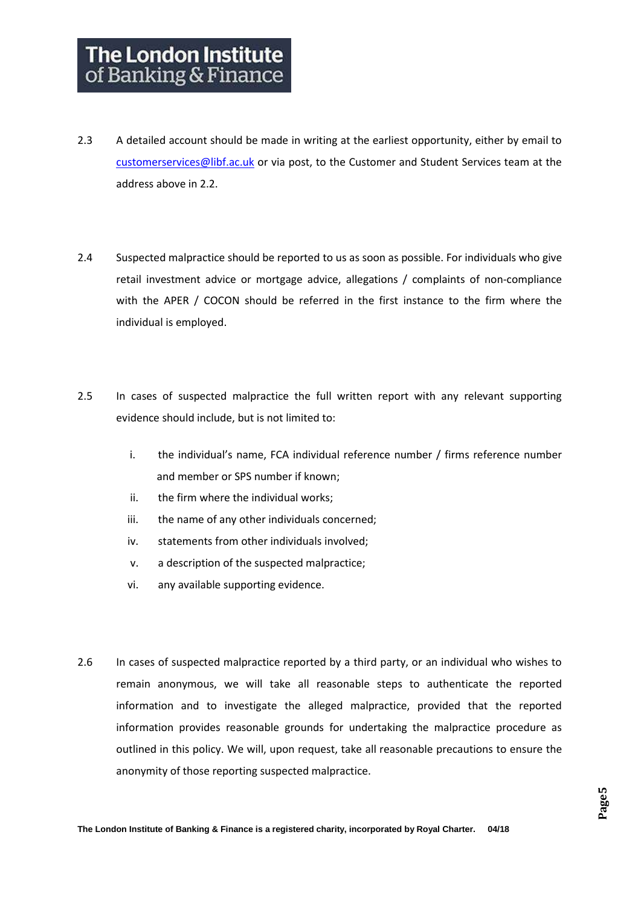- 2.3 A detailed account should be made in writing at the earliest opportunity, either by email to [customerservices@libf.ac.uk](mailto:customerservices@libf.ac.uk) or via post, to the Customer and Student Services team at the address above in 2.2.
- 2.4 Suspected malpractice should be reported to us as soon as possible. For individuals who give retail investment advice or mortgage advice, allegations / complaints of non-compliance with the APER / COCON should be referred in the first instance to the firm where the individual is employed.
- 2.5 In cases of suspected malpractice the full written report with any relevant supporting evidence should include, but is not limited to:
	- i. the individual's name, FCA individual reference number / firms reference number and member or SPS number if known;
	- ii. the firm where the individual works;
	- iii. the name of any other individuals concerned;
	- iv. statements from other individuals involved;
	- v. a description of the suspected malpractice;
	- vi. any available supporting evidence.
- 2.6 In cases of suspected malpractice reported by a third party, or an individual who wishes to remain anonymous, we will take all reasonable steps to authenticate the reported information and to investigate the alleged malpractice, provided that the reported information provides reasonable grounds for undertaking the malpractice procedure as outlined in this policy. We will, upon request, take all reasonable precautions to ensure the anonymity of those reporting suspected malpractice.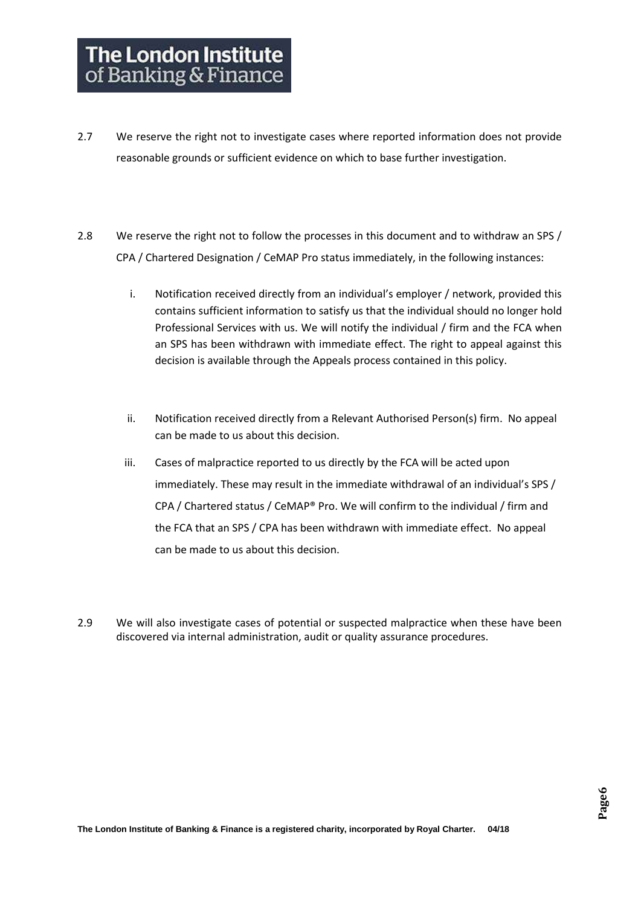- 2.7 We reserve the right not to investigate cases where reported information does not provide reasonable grounds or sufficient evidence on which to base further investigation.
- 2.8 We reserve the right not to follow the processes in this document and to withdraw an SPS / CPA / Chartered Designation / CeMAP Pro status immediately, in the following instances:
	- i. Notification received directly from an individual's employer / network, provided this contains sufficient information to satisfy us that the individual should no longer hold Professional Services with us. We will notify the individual / firm and the FCA when an SPS has been withdrawn with immediate effect. The right to appeal against this decision is available through the Appeals process contained in this policy.
	- ii. Notification received directly from a Relevant Authorised Person(s) firm. No appeal can be made to us about this decision.
	- iii. Cases of malpractice reported to us directly by the FCA will be acted upon immediately. These may result in the immediate withdrawal of an individual's SPS / CPA / Chartered status / CeMAP® Pro. We will confirm to the individual / firm and the FCA that an SPS / CPA has been withdrawn with immediate effect. No appeal can be made to us about this decision.
- 2.9 We will also investigate cases of potential or suspected malpractice when these have been discovered via internal administration, audit or quality assurance procedures.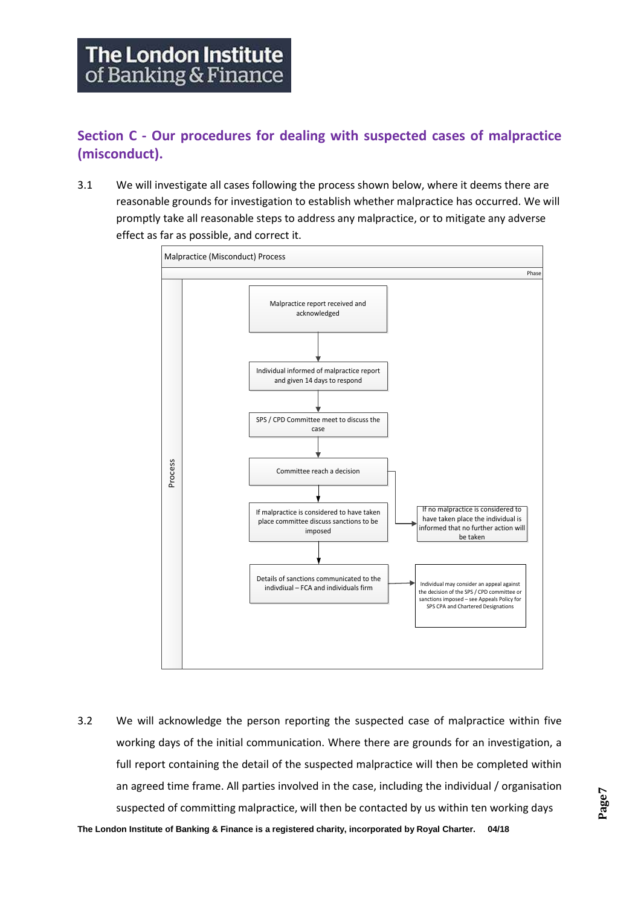**Section C - Our procedures for dealing with suspected cases of malpractice (misconduct).**

3.1 We will investigate all cases following the process shown below, where it deems there are reasonable grounds for investigation to establish whether malpractice has occurred. We will promptly take all reasonable steps to address any malpractice, or to mitigate any adverse effect as far as possible, and correct it.



3.2 We will acknowledge the person reporting the suspected case of malpractice within five working days of the initial communication. Where there are grounds for an investigation, a full report containing the detail of the suspected malpractice will then be completed within an agreed time frame. All parties involved in the case, including the individual / organisation suspected of committing malpractice, will then be contacted by us within ten working days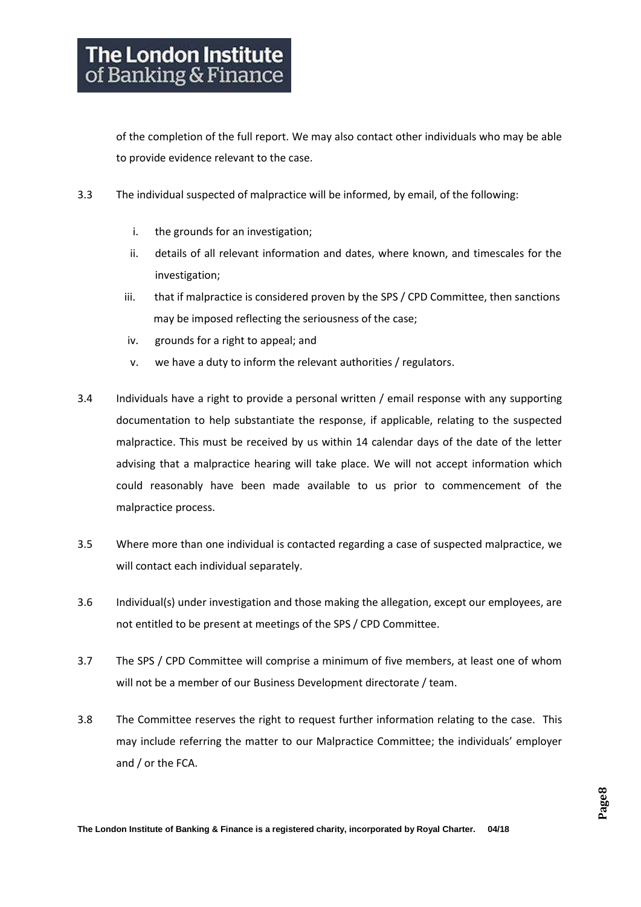of the completion of the full report. We may also contact other individuals who may be able to provide evidence relevant to the case.

- 3.3 The individual suspected of malpractice will be informed, by email, of the following:
	- i. the grounds for an investigation;
	- ii. details of all relevant information and dates, where known, and timescales for the investigation;
	- iii. that if malpractice is considered proven by the SPS / CPD Committee, then sanctions may be imposed reflecting the seriousness of the case;
	- iv. grounds for a right to appeal; and
	- v. we have a duty to inform the relevant authorities / regulators.
- 3.4 Individuals have a right to provide a personal written / email response with any supporting documentation to help substantiate the response, if applicable, relating to the suspected malpractice. This must be received by us within 14 calendar days of the date of the letter advising that a malpractice hearing will take place. We will not accept information which could reasonably have been made available to us prior to commencement of the malpractice process.
- 3.5 Where more than one individual is contacted regarding a case of suspected malpractice, we will contact each individual separately.
- 3.6 Individual(s) under investigation and those making the allegation, except our employees, are not entitled to be present at meetings of the SPS / CPD Committee.
- 3.7 The SPS / CPD Committee will comprise a minimum of five members, at least one of whom will not be a member of our Business Development directorate / team.
- 3.8 The Committee reserves the right to request further information relating to the case. This may include referring the matter to our Malpractice Committee; the individuals' employer and / or the FCA.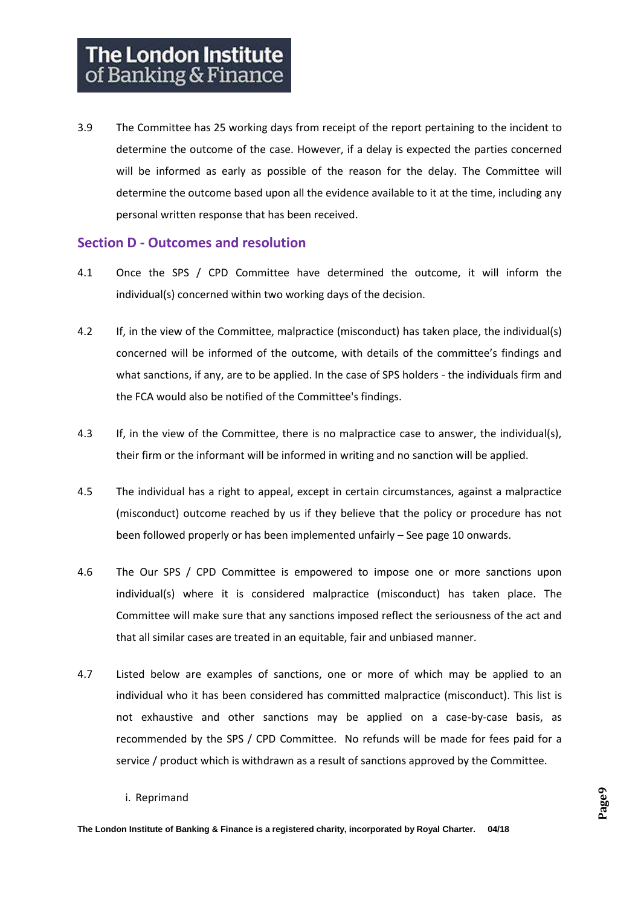3.9 The Committee has 25 working days from receipt of the report pertaining to the incident to determine the outcome of the case. However, if a delay is expected the parties concerned will be informed as early as possible of the reason for the delay. The Committee will determine the outcome based upon all the evidence available to it at the time, including any personal written response that has been received.

#### **Section D - Outcomes and resolution**

- 4.1 Once the SPS / CPD Committee have determined the outcome, it will inform the individual(s) concerned within two working days of the decision.
- 4.2 If, in the view of the Committee, malpractice (misconduct) has taken place, the individual(s) concerned will be informed of the outcome, with details of the committee's findings and what sanctions, if any, are to be applied. In the case of SPS holders - the individuals firm and the FCA would also be notified of the Committee's findings.
- 4.3 If, in the view of the Committee, there is no malpractice case to answer, the individual(s), their firm or the informant will be informed in writing and no sanction will be applied.
- 4.5 The individual has a right to appeal, except in certain circumstances, against a malpractice (misconduct) outcome reached by us if they believe that the policy or procedure has not been followed properly or has been implemented unfairly – See page 10 onwards.
- 4.6 The Our SPS / CPD Committee is empowered to impose one or more sanctions upon individual(s) where it is considered malpractice (misconduct) has taken place. The Committee will make sure that any sanctions imposed reflect the seriousness of the act and that all similar cases are treated in an equitable, fair and unbiased manner.
- 4.7 Listed below are examples of sanctions, one or more of which may be applied to an individual who it has been considered has committed malpractice (misconduct). This list is not exhaustive and other sanctions may be applied on a case-by-case basis, as recommended by the SPS / CPD Committee. No refunds will be made for fees paid for a service / product which is withdrawn as a result of sanctions approved by the Committee.
	- i. Reprimand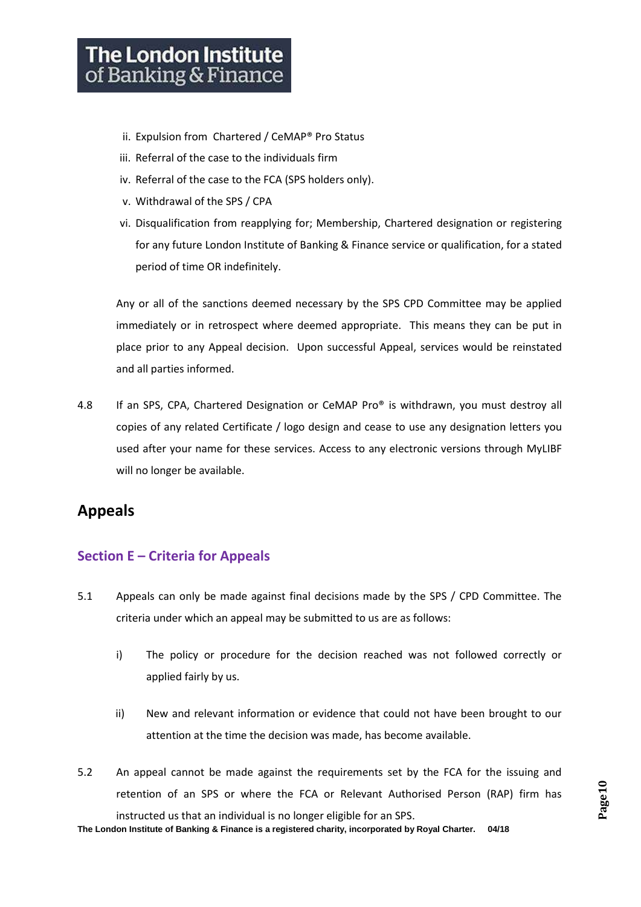# **The London Institute** of Banking & Finance

- ii. Expulsion from Chartered / CeMAP® Pro Status
- iii. Referral of the case to the individuals firm
- iv. Referral of the case to the FCA (SPS holders only).
- v. Withdrawal of the SPS / CPA
- vi. Disqualification from reapplying for; Membership, Chartered designation or registering for any future London Institute of Banking & Finance service or qualification, for a stated period of time OR indefinitely.

Any or all of the sanctions deemed necessary by the SPS CPD Committee may be applied immediately or in retrospect where deemed appropriate. This means they can be put in place prior to any Appeal decision. Upon successful Appeal, services would be reinstated and all parties informed.

4.8 If an SPS, CPA, Chartered Designation or CeMAP Pro® is withdrawn, you must destroy all copies of any related Certificate / logo design and cease to use any designation letters you used after your name for these services. Access to any electronic versions through MyLIBF will no longer be available.

# **Appeals**

## **Section E – Criteria for Appeals**

- 5.1 Appeals can only be made against final decisions made by the SPS / CPD Committee. The criteria under which an appeal may be submitted to us are as follows:
	- i) The policy or procedure for the decision reached was not followed correctly or applied fairly by us.
	- ii) New and relevant information or evidence that could not have been brought to our attention at the time the decision was made, has become available.
- 5.2 An appeal cannot be made against the requirements set by the FCA for the issuing and retention of an SPS or where the FCA or Relevant Authorised Person (RAP) firm has instructed us that an individual is no longer eligible for an SPS.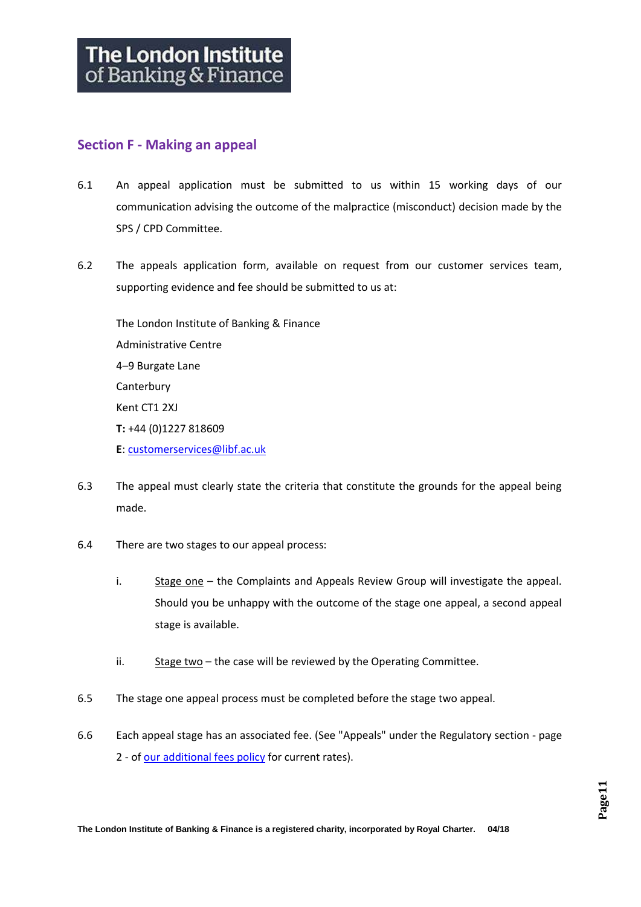#### **Section F - Making an appeal**

- 6.1 An appeal application must be submitted to us within 15 working days of our communication advising the outcome of the malpractice (misconduct) decision made by the SPS / CPD Committee.
- 6.2 The appeals application form, available on request from our customer services team, supporting evidence and fee should be submitted to us at:

The London Institute of Banking & Finance Administrative Centre 4–9 Burgate Lane **Canterbury** Kent CT1 2XJ **T:** +44 (0)1227 818609 **E**: [customerservices@libf.ac.uk](mailto:customerservices@libf.ac.uk)

- 6.3 The appeal must clearly state the criteria that constitute the grounds for the appeal being made.
- 6.4 There are two stages to our appeal process:
	- i. Stage one the Complaints and Appeals Review Group will investigate the appeal. Should you be unhappy with the outcome of the stage one appeal, a second appeal stage is available.
	- ii. Stage two the case will be reviewed by the Operating Committee.
- 6.5 The stage one appeal process must be completed before the stage two appeal.
- 6.6 Each appeal stage has an associated fee. (See "Appeals" under the Regulatory section page 2 - o[f our additional fees policy](http://www.libf.ac.uk/docs/default-source/financial-capability/teacher-exam-officer-information/additional-fees.pdf?sfvrsn=2) for current rates).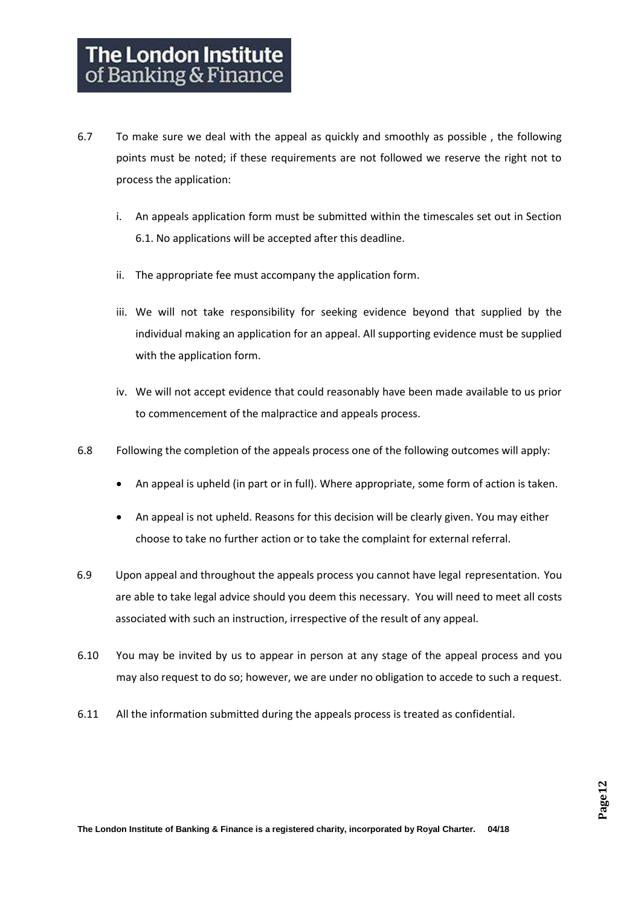- 6.7 To make sure we deal with the appeal as quickly and smoothly as possible , the following points must be noted; if these requirements are not followed we reserve the right not to process the application:
	- i. An appeals application form must be submitted within the timescales set out in Section 6.1. No applications will be accepted after this deadline.
	- ii. The appropriate fee must accompany the application form.
	- iii. We will not take responsibility for seeking evidence beyond that supplied by the individual making an application for an appeal. All supporting evidence must be supplied with the application form.
	- iv. We will not accept evidence that could reasonably have been made available to us prior to commencement of the malpractice and appeals process.
- 6.8 Following the completion of the appeals process one of the following outcomes will apply:
	- An appeal is upheld (in part or in full). Where appropriate, some form of action is taken.
	- An appeal is not upheld. Reasons for this decision will be clearly given. You may either choose to take no further action or to take the complaint for external referral.
- 6.9 Upon appeal and throughout the appeals process you cannot have legal representation. You are able to take legal advice should you deem this necessary. You will need to meet all costs associated with such an instruction, irrespective of the result of any appeal.
- 6.10 You may be invited by us to appear in person at any stage of the appeal process and you may also request to do so; however, we are under no obligation to accede to such a request.
- 6.11 All the information submitted during the appeals process is treated as confidential.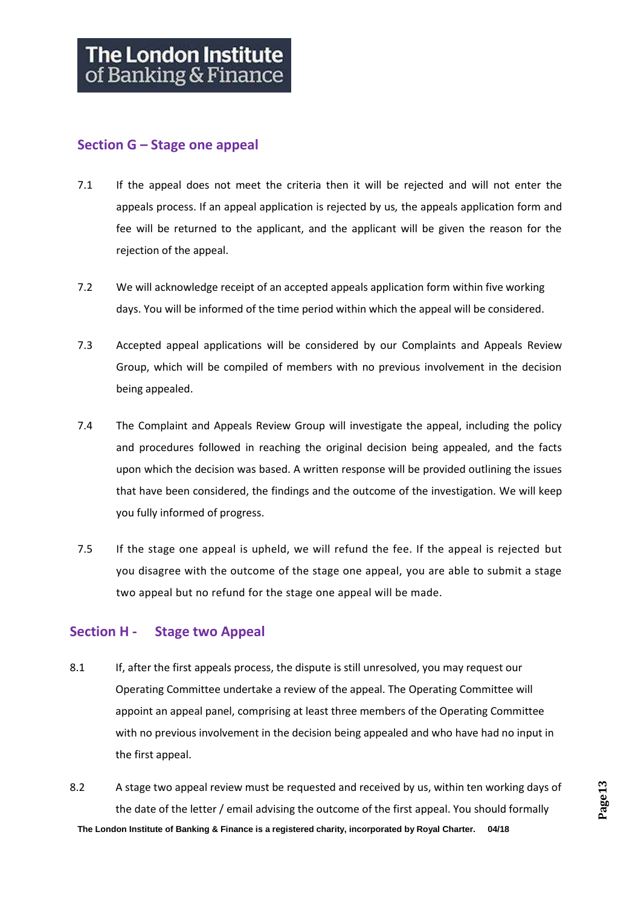### **Section G – Stage one appeal**

- 7.1 If the appeal does not meet the criteria then it will be rejected and will not enter the appeals process. If an appeal application is rejected by us*,* the appeals application form and fee will be returned to the applicant, and the applicant will be given the reason for the rejection of the appeal.
- 7.2 We will acknowledge receipt of an accepted appeals application form within five working days. You will be informed of the time period within which the appeal will be considered.
- 7.3 Accepted appeal applications will be considered by our Complaints and Appeals Review Group, which will be compiled of members with no previous involvement in the decision being appealed.
- 7.4 The Complaint and Appeals Review Group will investigate the appeal, including the policy and procedures followed in reaching the original decision being appealed, and the facts upon which the decision was based. A written response will be provided outlining the issues that have been considered, the findings and the outcome of the investigation. We will keep you fully informed of progress.
- 7.5 If the stage one appeal is upheld, we will refund the fee. If the appeal is rejected but you disagree with the outcome of the stage one appeal, you are able to submit a stage two appeal but no refund for the stage one appeal will be made.

## **Section H - Stage two Appeal**

- 8.1 If, after the first appeals process, the dispute is still unresolved, you may request our Operating Committee undertake a review of the appeal. The Operating Committee will appoint an appeal panel, comprising at least three members of the Operating Committee with no previous involvement in the decision being appealed and who have had no input in the first appeal.
- **The London Institute of Banking & Finance is a registered charity, incorporated by Royal Charter. 04/18** 8.2 A stage two appeal review must be requested and received by us, within ten working days of the date of the letter / email advising the outcome of the first appeal. You should formally